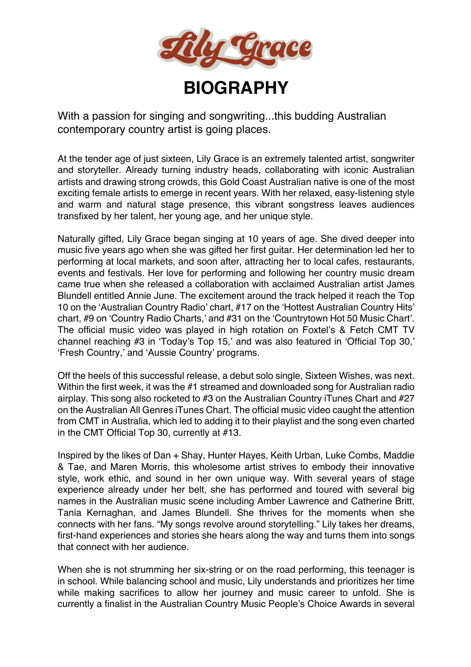

With a passion for singing and songwriting...this budding Australian contemporary country artist is going places.

At the tender age of just sixteen, Lily Grace is an extremely talented artist, songwriter and storyteller. Already turning industry heads, collaborating with iconic Australian artists and drawing strong crowds, this Gold Coast Australian native is one of the most exciting female artists to emerge in recent years. With her relaxed, easy-listening style and warm and natural stage presence, this vibrant songstress leaves audiences transfixed by her talent, her young age, and her unique style.

Naturally gifted, Lily Grace began singing at 10 years of age. She dived deeper into music five years ago when she was gifted her first guitar. Her determination led her to performing at local markets, and soon after, attracting her to local cafes, restaurants, events and festivals. Her love for performing and following her country music dream came true when she released a collaboration with acclaimed Australian artist James Blundell entitled Annie June. The excitement around the track helped it reach the Top 10 on the 'Australian Country Radio' chart, #17 on the 'Hottest Australian Country Hits' chart, #9 on 'Country Radio Charts,' and #31 on the 'Countrytown Hot 50 Music Chart'. The official music video was played in high rotation on Foxtel's & Fetch CMT TV channel reaching #3 in 'Today's Top 15,' and was also featured in 'Official Top 30,' 'Fresh Country,' and 'Aussie Country' programs.

Off the heels of this successful release, a debut solo single, Sixteen Wishes, was next. Within the first week, it was the #1 streamed and downloaded song for Australian radio airplay. This song also rocketed to #3 on the Australian Country iTunes Chart and #27 on the Australian All Genres iTunes Chart. The official music video caught the attention from CMT in Australia, which led to adding it to their playlist and the song even charted in the CMT Official Top 30, currently at #13.

Inspired by the likes of Dan + Shay, Hunter Hayes, Keith Urban, Luke Combs, Maddie & Tae, and Maren Morris, this wholesome artist strives to embody their innovative style, work ethic, and sound in her own unique way. With several years of stage experience already under her belt, she has performed and toured with several big names in the Australian music scene including Amber Lawrence and Catherine Britt, Tania Kernaghan, and James Blundell. She thrives for the moments when she connects with her fans. "My songs revolve around storytelling." Lily takes her dreams, first-hand experiences and stories she hears along the way and turns them into songs that connect with her audience.

When she is not strumming her six-string or on the road performing, this teenager is in school. While balancing school and music, Lily understands and prioritizes her time while making sacrifices to allow her journey and music career to unfold. She is currently a finalist in the Australian Country Music People's Choice Awards in several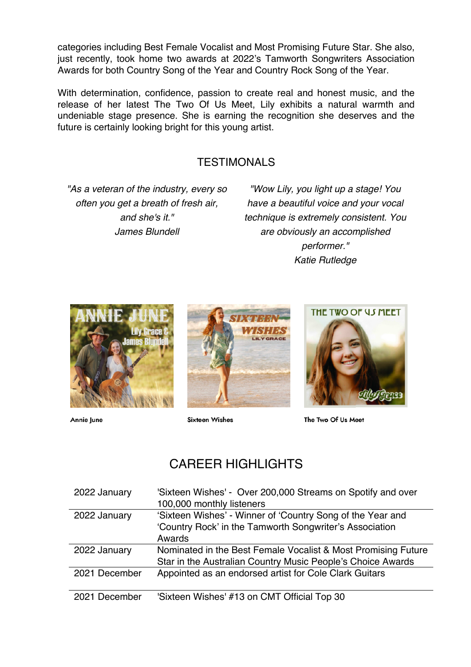categories including Best Female Vocalist and Most Promising Future Star. She also, just recently, took home two awards at 2022's Tamworth Songwriters Association Awards for both Country Song of the Year and Country Rock Song of the Year.

With determination, confidence, passion to create real and honest music, and the release of her latest The Two Of Us Meet, Lily exhibits a natural warmth and undeniable stage presence. She is earning the recognition she deserves and the future is certainly looking bright for this young artist.

### TESTIMONALS

*"As a veteran of the industry, every so often you get a breath of fresh air, and she's it." James Blundell*

*"Wow Lily, you light up a stage! You have a beautiful voice and your vocal technique is extremely consistent. You are obviously an accomplished performer." Katie Rutledge*



Annie June



**Sixteen Wishes** 



The Two Of Us Meet

# CARFFR HIGHLIGHTS

| 2022 January  | 'Sixteen Wishes' - Over 200,000 Streams on Spotify and over<br>100,000 monthly listeners |
|---------------|------------------------------------------------------------------------------------------|
| 2022 January  | 'Sixteen Wishes' - Winner of 'Country Song of the Year and                               |
|               | 'Country Rock' in the Tamworth Songwriter's Association                                  |
|               | Awards                                                                                   |
| 2022 January  | Nominated in the Best Female Vocalist & Most Promising Future                            |
|               | Star in the Australian Country Music People's Choice Awards                              |
| 2021 December | Appointed as an endorsed artist for Cole Clark Guitars                                   |
|               |                                                                                          |
| 2021 December | 'Sixteen Wishes' #13 on CMT Official Top 30                                              |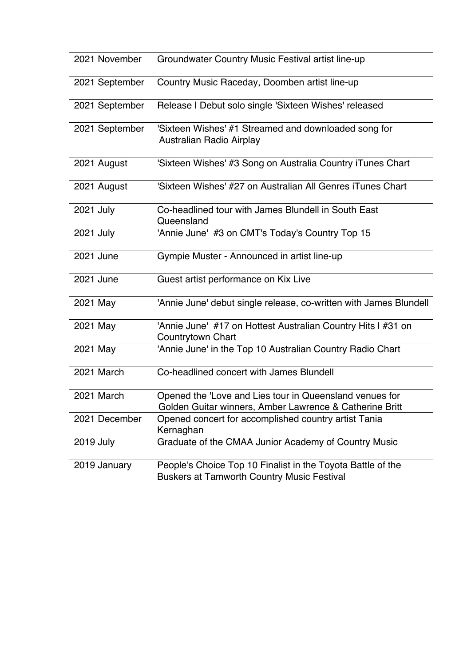| 2021 November    | Groundwater Country Music Festival artist line-up                                                                  |
|------------------|--------------------------------------------------------------------------------------------------------------------|
| 2021 September   | Country Music Raceday, Doomben artist line-up                                                                      |
| 2021 September   | Release I Debut solo single 'Sixteen Wishes' released                                                              |
| 2021 September   | 'Sixteen Wishes' #1 Streamed and downloaded song for<br>Australian Radio Airplay                                   |
| 2021 August      | 'Sixteen Wishes' #3 Song on Australia Country iTunes Chart                                                         |
| 2021 August      | 'Sixteen Wishes' #27 on Australian All Genres iTunes Chart                                                         |
| 2021 July        | Co-headlined tour with James Blundell in South East<br>Queensland                                                  |
| 2021 July        | 'Annie June' #3 on CMT's Today's Country Top 15                                                                    |
| 2021 June        | Gympie Muster - Announced in artist line-up                                                                        |
| 2021 June        | Guest artist performance on Kix Live                                                                               |
| 2021 May         | 'Annie June' debut single release, co-written with James Blundell                                                  |
| 2021 May         | 'Annie June' #17 on Hottest Australian Country Hits I #31 on<br>Countrytown Chart                                  |
| 2021 May         | 'Annie June' in the Top 10 Australian Country Radio Chart                                                          |
| 2021 March       | Co-headlined concert with James Blundell                                                                           |
| 2021 March       | Opened the 'Love and Lies tour in Queensland venues for<br>Golden Guitar winners, Amber Lawrence & Catherine Britt |
| 2021 December    | Opened concert for accomplished country artist Tania<br>Kernaghan                                                  |
| <b>2019 July</b> | Graduate of the CMAA Junior Academy of Country Music                                                               |
| 2019 January     | People's Choice Top 10 Finalist in the Toyota Battle of the<br><b>Buskers at Tamworth Country Music Festival</b>   |